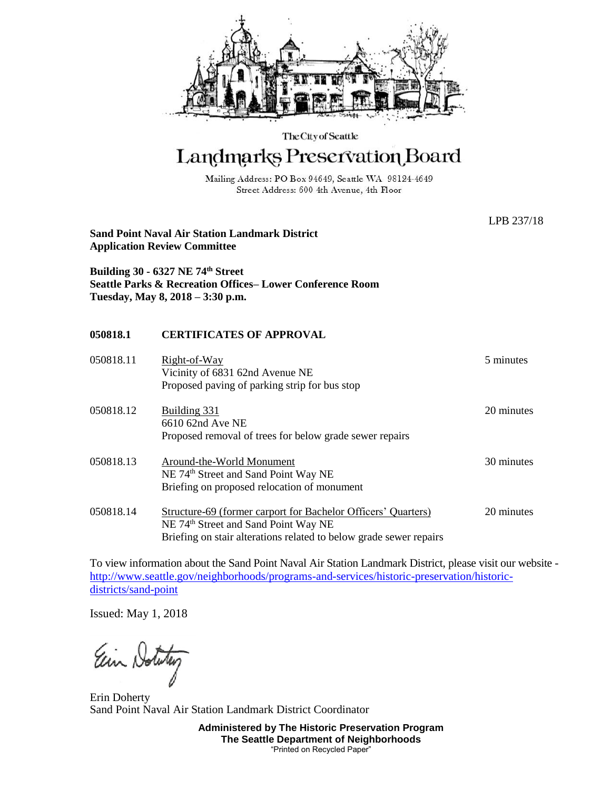

The City of Seattle

## Landmarks Preservation Board

Mailing Address: PO Box 94649, Seattle WA 98124-4649 Street Address: 600 4th Avenue, 4th Floor

| <b>Sand Point Naval Air Station Landmark District</b><br><b>Application Review Committee</b> |                                                                                                                                                                                                | LPB 237/18 |
|----------------------------------------------------------------------------------------------|------------------------------------------------------------------------------------------------------------------------------------------------------------------------------------------------|------------|
|                                                                                              | Building 30 - 6327 NE 74th Street<br><b>Seattle Parks &amp; Recreation Offices– Lower Conference Room</b><br>Tuesday, May 8, 2018 – 3:30 p.m.                                                  |            |
| 050818.1                                                                                     | <b>CERTIFICATES OF APPROVAL</b>                                                                                                                                                                |            |
| 050818.11                                                                                    | Right-of-Way<br>Vicinity of 6831 62nd Avenue NE<br>Proposed paving of parking strip for bus stop                                                                                               | 5 minutes  |
| 050818.12                                                                                    | Building 331<br>6610 62nd Ave NE<br>Proposed removal of trees for below grade sewer repairs                                                                                                    | 20 minutes |
| 050818.13                                                                                    | Around-the-World Monument<br>NE 74 <sup>th</sup> Street and Sand Point Way NE<br>Briefing on proposed relocation of monument                                                                   | 30 minutes |
| 050818.14                                                                                    | <b>Structure-69 (former carport for Bachelor Officers' Quarters)</b><br>NE 74 <sup>th</sup> Street and Sand Point Way NE<br>Briefing on stair alterations related to below grade sewer repairs | 20 minutes |

To view information about the Sand Point Naval Air Station Landmark District, please visit our website [http://www.seattle.gov/neighborhoods/programs-and-services/historic-preservation/historic](http://www.seattle.gov/neighborhoods/programs-and-services/historic-preservation/historic-districts/sand-point)[districts/sand-point](http://www.seattle.gov/neighborhoods/programs-and-services/historic-preservation/historic-districts/sand-point)

Issued: May 1, 2018

Ein Notatu

Erin Doherty Sand Point Naval Air Station Landmark District Coordinator

**Administered by The Historic Preservation Program The Seattle Department of Neighborhoods** "Printed on Recycled Paper"